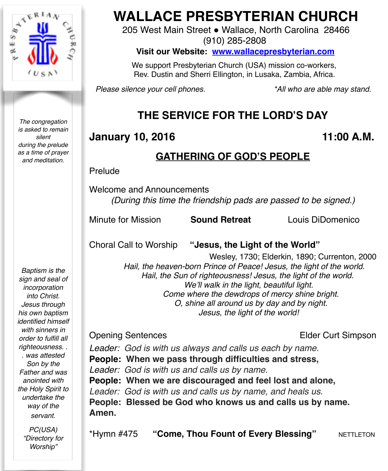

*The congregation is asked to remain silent during the prelude as a time of prayer and meditation.*

# **WALLACE PRESBYTERIAN CHURCH**

205 West Main Street . Wallace, North Carolina 28466 (910) 285-2808

**Visit our Website: [www.wallacepresbyterian.com](http://www.wallacepresbyterian.com)**

 We support Presbyterian Church (USA) mission co-workers, Rev. Dustin and Sherri Ellington, in Lusaka, Zambia, Africa.

*Please silence your cell phones. \*All who are able may stand.*

## **THE SERVICE FOR THE LORD'S DAY**

## **January 10, 2016 11:00 A.M.**

## **GATHERING OF GOD'S PEOPLE**

Prelude

Welcome and Announcements *(During this time the friendship pads are passed to be signed.)*

Minute for Mission **Sound Retreat** Louis DiDomenico

Choral Call to Worship **"Jesus, the Light of the World"**

 Wesley, 1730; Elderkin, 1890; Currenton, 2000  *Hail, the heaven-born Prince of Peace! Jesus, the light of the world. Hail, the Sun of righteousness! Jesus, the light of the world. We'll walk in the light, beautiful light. Come where the dewdrops of mercy shine bright. O, shine all around us by day and by night. Jesus, the light of the world!*

**Opening Sentences COVER 2018 12 SENSIGN ELDER CURT SIMPSON** 

*Leader: God is with us always and calls us each by name.* **People: When we pass through difficulties and stress,** *Leader: God is with us and calls us by name.* **People: When we are discouraged and feel lost and alone,** *Leader: God is with us and calls us by name, and heals us.* **People: Blessed be God who knows us and calls us by name. Amen.**

\*Hymn #475 **"Come, Thou Fount of Every Blessing" NETTLETON** 

*Baptism is the sign and seal of incorporation into Christ. Jesus through his own baptism identified himself with sinners in order to fulfill all righteousness. . . was attested Son by the Father and was anointed with the Holy Spirit to undertake the way of the servant.*

> *PC(USA) "Directory for Worship"*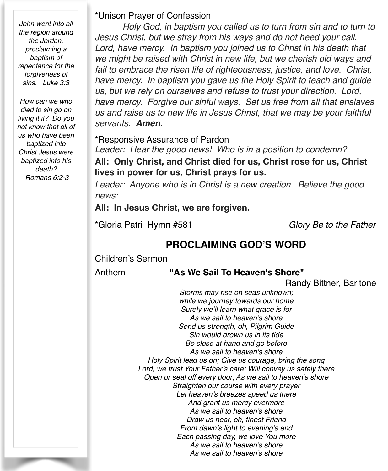*John went into all the region around the Jordan, proclaiming a baptism of repentance for the forgiveness of sins. Luke 3:3*

*How can we who died to sin go on living it it? Do you not know that all of us who have been baptized into Christ Jesus were baptized into his death? Romans 6:2-3*

#### \*Unison Prayer of Confession

*Holy God, in baptism you called us to turn from sin and to turn to Jesus Christ, but we stray from his ways and do not heed your call. Lord, have mercy. In baptism you joined us to Christ in his death that we might be raised with Christ in new life, but we cherish old ways and fail to embrace the risen life of righteousness, justice, and love. Christ, have mercy. In baptism you gave us the Holy Spirit to teach and guide us, but we rely on ourselves and refuse to trust your direction. Lord, have mercy. Forgive our sinful ways. Set us free from all that enslaves us and raise us to new life in Jesus Christ, that we may be your faithful servants. Amen.*

\*Responsive Assurance of Pardon

*Leader: Hear the good news! Who is in a position to condemn?* **All: Only Christ, and Christ died for us, Christ rose for us, Christ lives in power for us, Christ prays for us.**

*Leader: Anyone who is in Christ is a new creation. Believe the good news:*

All: In Jesus Christ, we are forgiven.

\*Gloria Patri Hymn #581 *Glory Be to the Father*

## **PROCLAIMING GOD'S WORD**

Children's Sermon

#### Anthem **"As We Sail To Heaven's Shore"**

**Randy Bittner, Baritone** 

*Storms may rise on seas unknown; while we journey towards our home Surely we'll learn what grace is for As we sail to heaven's shore Send us strength, oh, Pilgrim Guide Sin would drown us in its tide Be close at hand and go before As we sail to heaven's shore Holy Spirit lead us on; Give us courage, bring the song Lord, we trust Your Father's care; Will convey us safely there Open or seal off every door; As we sail to heaven's shore Straighten our course with every prayer Let heaven's breezes speed us there And grant us mercy evermore As we sail to heaven's shore Draw us near, oh, finest Friend From dawn's light to evening's end Each passing day, we love You more As we sail to heaven's shore As we sail to heaven's shore*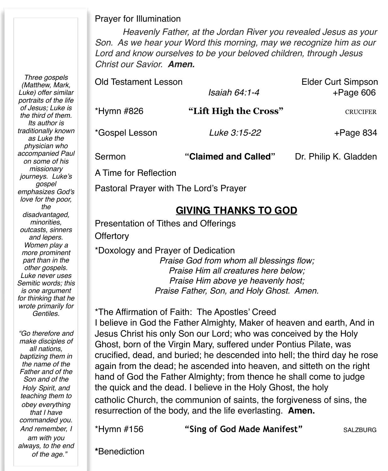#### Prayer for Illumination

*Heavenly Father, at the Jordan River you revealed Jesus as your Son. As we hear your Word this morning, may we recognize him as our Lord and know ourselves to be your beloved children, through Jesus Christ our Savior. Amen.*

| <b>Old Testament Lesson</b> |                       | <b>Elder Curt Simpson</b> |
|-----------------------------|-----------------------|---------------------------|
|                             | Isaiah 64:1-4         | $+$ Page 606              |
| *Hymn #826                  | "Lift High the Cross" | <b>CRUCIFER</b>           |
| *Gospel Lesson              | Luke 3:15-22          | $+$ Page 834              |
| Sermon                      | "Claimed and Called"  | Dr. Philip K. Gladden     |
| A Time for Reflection       |                       |                           |

Pastoral Prayer with The Lord's Prayer

## **GIVING THANKS TO GOD**

Presentation of Tithes and Offerings **Offertory** 

#### \*Doxology and Prayer of Dedication

*Praise God from whom all blessings flow; Praise Him all creatures here below; Praise Him above ye heavenly host; Praise Father, Son, and Holy Ghost. Amen.*

#### \*The Affirmation of Faith: The Apostles' Creed

I believe in God the Father Almighty, Maker of heaven and earth, And in Jesus Christ his only Son our Lord; who was conceived by the Holy Ghost, born of the Virgin Mary, suffered under Pontius Pilate, was crucified, dead, and buried; he descended into hell; the third day he rose again from the dead; he ascended into heaven, and sitteth on the right hand of God the Father Almighty; from thence he shall come to judge the quick and the dead. I believe in the Holy Ghost, the holy catholic Church, the communion of saints, the forgiveness of sins, the resurrection of the body, and the life everlasting. **Amen.**

\*Hymn #156 **"Sing of God Made Manifest"** SALZBURG

**\***Benediction

*(Matthew, Mark, Luke) offer similar portraits of the life of Jesus; Luke is the third of them. Its author is traditionally known as Luke the physician who accompanied Paul on some of his missionary journeys. Luke's gospel emphasizes God's love for the poor, the disadvantaged, minorities, outcasts, sinners and lepers. Women play a more prominent part than in the other gospels. Luke never uses Semitic words; this is one argument for thinking that he wrote primarily for Gentiles.*

*Three gospels* 

*"Go therefore and make disciples of all nations, baptizing them in the name of the Father and of the Son and of the Holy Spirit, and teaching them to obey everything that I have commanded you. And remember, I am with you always, to the end of the age."*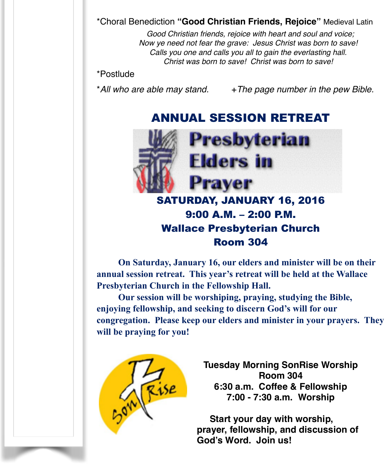\*Choral Benediction **"Good Christian Friends, Rejoice"** Medieval Latin

 *Good Christian friends, rejoice with heart and soul and voice; Now ye need not fear the grave: Jesus Christ was born to save! Calls you one and calls you all to gain the everlasting hall. Christ was born to save! Christ was born to save!* 

#### \*Postlude

\*All who are able may stand.  $+$  The page number in the pew Bible.

## ANNUAL SESSION RETREAT



## SATURDAY, JANUARY 16, 2016 9:00 A.M. – 2:00 P.M. Wallace Presbyterian Church Room 304

**On Saturday, January 16, our elders and minister will be on their annual session retreat. This year's retreat will be held at the Wallace Presbyterian Church in the Fellowship Hall.** 

**Our session will be worshiping, praying, studying the Bible, enjoying fellowship, and seeking to discern God's will for our congregation. Please keep our elders and minister in your prayers. They will be praying for you!** 



**Tuesday Morning SonRise Worship Room 304 6:30 a.m. Coffee & Fellowship 7:00 - 7:30 a.m. Worship**

 **Start your day with worship, prayer, fellowship, and discussion of God's Word. Join us!**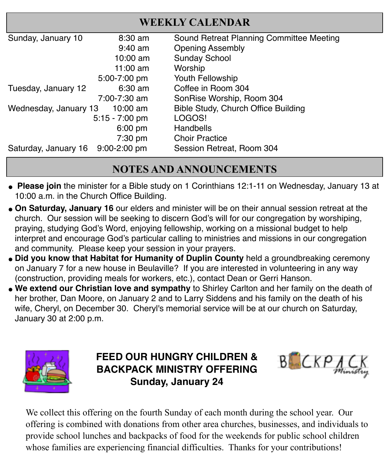| <b>WEEKLY CALENDAR</b> |                   |                                          |  |
|------------------------|-------------------|------------------------------------------|--|
| Sunday, January 10     | $8:30 \text{ am}$ | Sound Retreat Planning Committee Meeting |  |
|                        | $9:40$ am         | <b>Opening Assembly</b>                  |  |
|                        | $10:00$ am        | <b>Sunday School</b>                     |  |
|                        | $11:00$ am        | Worship                                  |  |
|                        | 5:00-7:00 pm      | Youth Fellowship                         |  |
| Tuesday, January 12    | $6:30 \text{ am}$ | Coffee in Room 304                       |  |
|                        | 7:00-7:30 am      | SonRise Worship, Room 304                |  |
| Wednesday, January 13  | 10:00 $\text{am}$ | Bible Study, Church Office Building      |  |
|                        | $5:15 - 7:00$ pm  | LOGOS!                                   |  |
|                        | $6:00$ pm         | Handbells                                |  |
|                        | $7:30$ pm         | <b>Choir Practice</b>                    |  |
| Saturday, January 16   | $9:00 - 2:00$ pm  | Session Retreat, Room 304                |  |

## **NOTES AND ANNOUNCEMENTS**

- **" Please join** the minister for a Bible study on 1 Corinthians 12:1-11 on Wednesday, January 13 at 10:00 a.m. in the Church Office Building.
- **. On Saturday, January 16** our elders and minister will be on their annual session retreat at the church. Our session will be seeking to discern God's will for our congregation by worshiping, praying, studying God's Word, enjoying fellowship, working on a missional budget to help interpret and encourage God's particular calling to ministries and missions in our congregation and community. Please keep your session in your prayers.
- **. Did you know that Habitat for Humanity of Duplin County** held a groundbreaking ceremony on January 7 for a new house in Beulaville? If you are interested in volunteering in any way (construction, providing meals for workers, etc.), contact Dean or Gerri Hanson.
- **. We extend our Christian love and sympathy** to Shirley Carlton and her family on the death of her brother, Dan Moore, on January 2 and to Larry Siddens and his family on the death of his wife, Cheryl, on December 30. Cheryl's memorial service will be at our church on Saturday, January 30 at 2:00 p.m.



**FEED OUR HUNGRY CHILDREN & BACKPACK MINISTRY OFFERING Sunday, January 24**



We collect this offering on the fourth Sunday of each month during the school year. Our offering is combined with donations from other area churches, businesses, and individuals to provide school lunches and backpacks of food for the weekends for public school children whose families are experiencing financial difficulties. Thanks for your contributions!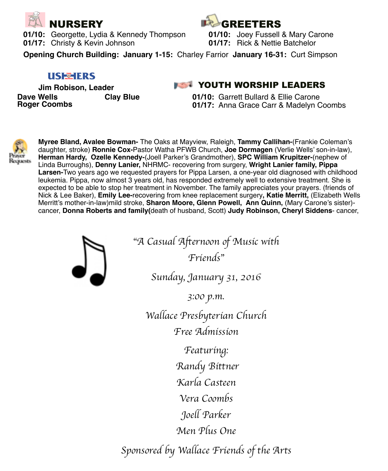

**01/10:** Georgette, Lydia & Kennedy Thompson **01/10:** Joey Fussell & Mary Carone **01/17:** Christy & Kevin Johnson**! ! 01/17:** Rick & Nettie Batchelor



**Opening Church Building: January 1-15:** Charley Farrior **January 16-31:** Curt Simpson

#### **USE HERS**

 **Jim Robison, Leader Dave Wells Clay Blue Roger Coombs** 

### **WAS A YOUTH WORSHIP LEADERS**

**01/10:** Garrett Bullard & Ellie Carone **01/17:** Anna Grace Carr & Madelyn Coombs



**Myree Bland, Avalee Bowman-** The Oaks at Mayview, Raleigh, **Tammy Callihan-**(Frankie Coleman's daughter, stroke) **Ronnie Cox-**Pastor Watha PFWB Church, **Joe Dormagen** (Verlie Wells' son-in-law), **Herman Hardy, Ozelle Kennedy-**(Joell Parker's Grandmother), **SPC William Krupitzer-**(nephew of Linda Burroughs), **Denny Lanier,** NHRMC- recovering from surgery, **Wright Lanier family, Pippa Larsen-**Two years ago we requested prayers for Pippa Larsen, a one-year old diagnosed with childhood leukemia. Pippa, now almost 3 years old, has responded extremely well to extensive treatment. She is expected to be able to stop her treatment in November. The family appreciates your prayers. (friends of Nick & Lee Baker), **Emily Lee-**recovering from knee replacement surgery**, Katie Merritt,** (Elizabeth Wells Merritt's mother-in-law)mild stroke, **Sharon Moore, Glenn Powell, Ann Quinn,** (Mary Carone's sister) cancer, **Donna Roberts and family(**death of husband, Scott) **Judy Robinson, Cheryl Siddens**- cancer,



"*A Casual Afternoon of Music with Friends*"

*Sunday, January 31, 2016*

*3:00 p.m.*

*Wallace Presbyterian Church Free Admission* 

> *Featuring: Randy Bittner*

*Karla Casteen*

*Vera Coombs*

*Joell Parker*

*Men Plus One*

*Sponsored by Wallace Friends of the Arts*